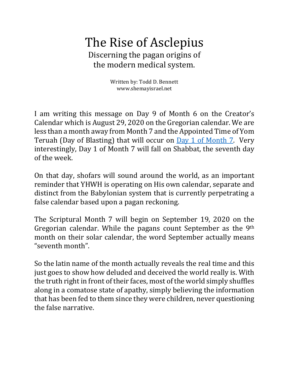## The Rise of Asclepius Discerning the pagan origins of the modern medical system.

Written by: Todd D. Bennett www.shemayisrael.net

I am writing this message on Day 9 of Month 6 on the Creator's Calendar which is August 29, 2020 on the Gregorian calendar. We are less than a month away from Month 7 and the Appointed Time of Yom Teruah (Day of Blasting) that will occur on Day 1 of Month 7. Very interestingly, Day 1 of Month 7 will fall on Shabbat, the seventh day of the week.

On that day, shofars will sound around the world, as an important reminder that YHWH is operating on His own calendar, separate and distinct from the Babylonian system that is currently perpetrating a false calendar based upon a pagan reckoning.

The Scriptural Month 7 will begin on September 19, 2020 on the Gregorian calendar. While the pagans count September as the  $9<sup>th</sup>$ month on their solar calendar, the word September actually means "seventh month".

So the latin name of the month actually reveals the real time and this just goes to show how deluded and deceived the world really is. With the truth right in front of their faces, most of the world simply shuffles along in a comatose state of apathy, simply believing the information that has been fed to them since they were children, never questioning the false narrative.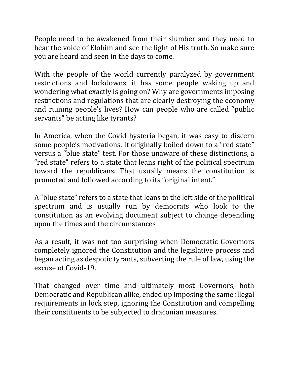People need to be awakened from their slumber and they need to hear the voice of Elohim and see the light of His truth. So make sure you are heard and seen in the days to come.

With the people of the world currently paralyzed by government restrictions and lockdowns, it has some people waking up and wondering what exactly is going on? Why are governments imposing restrictions and regulations that are clearly destroying the economy and ruining people's lives? How can people who are called "public" servants" be acting like tyrants?

In America, when the Covid hysteria began, it was easy to discern some people's motivations. It originally boiled down to a "red state" versus a "blue state" test. For those unaware of these distinctions, a " red state" refers to a state that leans right of the political spectrum toward the republicans. That usually means the constitution is promoted and followed according to its "original intent."

A "blue state" refers to a state that leans to the left side of the political spectrum and is usually run by democrats who look to the constitution as an evolving document subject to change depending upon the times and the circumstances

As a result, it was not too surprising when Democratic Governors completely ignored the Constitution and the legislative process and began acting as despotic tyrants, subverting the rule of law, using the excuse of Covid-19.

That changed over time and ultimately most Governors, both Democratic and Republican alike, ended up imposing the same illegal requirements in lock step, ignoring the Constitution and compelling their constituents to be subjected to draconian measures.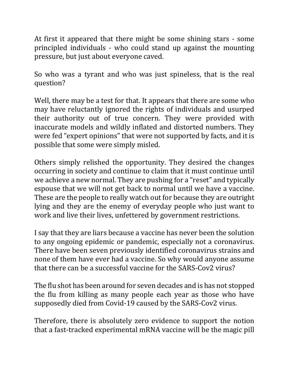At first it appeared that there might be some shining stars - some principled individuals - who could stand up against the mounting pressure, but just about everyone caved.

So who was a tyrant and who was just spineless, that is the real question?

Well, there may be a test for that. It appears that there are some who may have reluctantly ignored the rights of individuals and usurped their authority out of true concern. They were provided with inaccurate models and wildly inflated and distorted numbers. They were fed "expert opinions" that were not supported by facts, and it is possible that some were simply misled.

Others simply relished the opportunity. They desired the changes occurring in society and continue to claim that it must continue until we achieve a new normal. They are pushing for a "reset" and typically espouse that we will not get back to normal until we have a vaccine. These are the people to really watch out for because they are outright lying and they are the enemy of everyday people who just want to work and live their lives, unfettered by government restrictions.

I say that they are liars because a vaccine has never been the solution to any ongoing epidemic or pandemic, especially not a coronavirus. There have been seven previously identified coronavirus strains and none of them have ever had a vaccine. So why would anyone assume that there can be a successful vaccine for the SARS-Cov2 virus?

The flu shot has been around for seven decades and is has not stopped the flu from killing as many people each year as those who have supposedly died from Covid-19 caused by the SARS-Cov2 virus.

Therefore, there is absolutely zero evidence to support the notion that a fast-tracked experimental mRNA vaccine will be the magic pill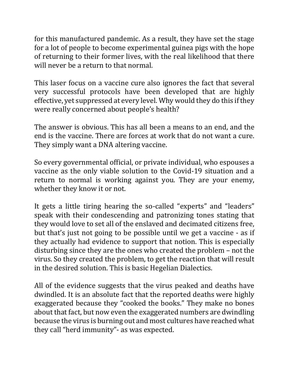for this manufactured pandemic. As a result, they have set the stage for a lot of people to become experimental guinea pigs with the hope of returning to their former lives, with the real likelihood that there will never be a return to that normal.

This laser focus on a vaccine cure also ignores the fact that several very successful protocols have been developed that are highly effective, yet suppressed at every level. Why would they do this if they were really concerned about people's health?

The answer is obvious. This has all been a means to an end, and the end is the vaccine. There are forces at work that do not want a cure. They simply want a DNA altering vaccine.

So every governmental official, or private individual, who espouses a vaccine as the only viable solution to the Covid-19 situation and a return to normal is working against you. They are your enemy, whether they know it or not.

It gets a little tiring hearing the so-called "experts" and "leaders" speak with their condescending and patronizing tones stating that they would love to set all of the enslaved and decimated citizens free, but that's just not going to be possible until we get a vaccine - as if they actually had evidence to support that notion. This is especially disturbing since they are the ones who created the problem - not the virus. So they created the problem, to get the reaction that will result in the desired solution. This is basic Hegelian Dialectics.

All of the evidence suggests that the virus peaked and deaths have dwindled. It is an absolute fact that the reported deaths were highly exaggerated because they "cooked the books." They make no bones about that fact, but now even the exaggerated numbers are dwindling because the virus is burning out and most cultures have reached what they call "herd immunity"- as was expected.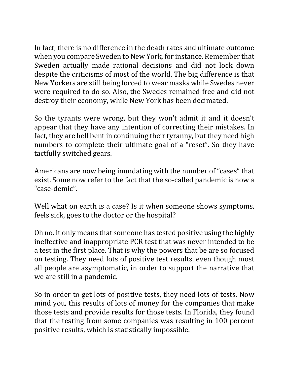In fact, there is no difference in the death rates and ultimate outcome when you compare Sweden to New York, for instance. Remember that Sweden actually made rational decisions and did not lock down despite the criticisms of most of the world. The big difference is that New Yorkers are still being forced to wear masks while Swedes never were required to do so. Also, the Swedes remained free and did not destroy their economy, while New York has been decimated.

So the tyrants were wrong, but they won't admit it and it doesn't appear that they have any intention of correcting their mistakes. In fact, they are hell bent in continuing their tyranny, but they need high numbers to complete their ultimate goal of a "reset". So they have tactfully switched gears.

Americans are now being inundating with the number of "cases" that exist. Some now refer to the fact that the so-called pandemic is now a "case-demic".

Well what on earth is a case? Is it when someone shows symptoms, feels sick, goes to the doctor or the hospital?

Oh no. It only means that someone has tested positive using the highly ineffective and inappropriate PCR test that was never intended to be a test in the first place. That is why the powers that be are so focused on testing. They need lots of positive test results, even though most all people are asymptomatic, in order to support the narrative that we are still in a pandemic.

So in order to get lots of positive tests, they need lots of tests. Now mind you, this results of lots of money for the companies that make those tests and provide results for those tests. In Florida, they found that the testing from some companies was resulting in 100 percent positive results, which is statistically impossible.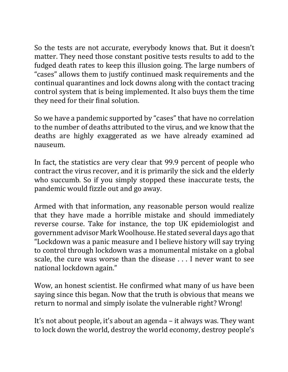So the tests are not accurate, everybody knows that. But it doesn't matter. They need those constant positive tests results to add to the fudged death rates to keep this illusion going. The large numbers of "cases" allows them to justify continued mask requirements and the continual quarantines and lock downs along with the contact tracing control system that is being implemented. It also buys them the time they need for their final solution.

So we have a pandemic supported by "cases" that have no correlation to the number of deaths attributed to the virus, and we know that the deaths are highly exaggerated as we have already examined ad nauseum. 

In fact, the statistics are very clear that 99.9 percent of people who contract the virus recover, and it is primarily the sick and the elderly who succumb. So if you simply stopped these inaccurate tests, the pandemic would fizzle out and go away.

Armed with that information, any reasonable person would realize that they have made a horrible mistake and should immediately reverse course. Take for instance, the top UK epidemiologist and government advisor Mark Woolhouse. He stated several days ago that "Lockdown was a panic measure and I believe history will say trying to control through lockdown was a monumental mistake on a global scale, the cure was worse than the disease . . . I never want to see national lockdown again."

Wow, an honest scientist. He confirmed what many of us have been saying since this began. Now that the truth is obvious that means we return to normal and simply isolate the vulnerable right? Wrong!

It's not about people, it's about an agenda – it always was. They want to lock down the world, destroy the world economy, destroy people's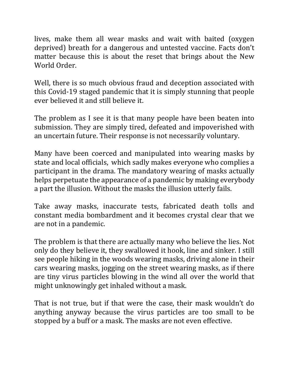lives, make them all wear masks and wait with baited (oxygen deprived) breath for a dangerous and untested vaccine. Facts don't matter because this is about the reset that brings about the New World Order.

Well, there is so much obvious fraud and deception associated with this Covid-19 staged pandemic that it is simply stunning that people ever believed it and still believe it.

The problem as I see it is that many people have been beaten into submission. They are simply tired, defeated and impoverished with an uncertain future. Their response is not necessarily voluntary.

Many have been coerced and manipulated into wearing masks by state and local officials, which sadly makes everyone who complies a participant in the drama. The mandatory wearing of masks actually helps perpetuate the appearance of a pandemic by making everybody a part the illusion. Without the masks the illusion utterly fails.

Take away masks, inaccurate tests, fabricated death tolls and constant media bombardment and it becomes crystal clear that we are not in a pandemic.

The problem is that there are actually many who believe the lies. Not only do they believe it, they swallowed it hook, line and sinker. I still see people hiking in the woods wearing masks, driving alone in their cars wearing masks, jogging on the street wearing masks, as if there are tiny virus particles blowing in the wind all over the world that might unknowingly get inhaled without a mask.

That is not true, but if that were the case, their mask wouldn't do anything anyway because the virus particles are too small to be stopped by a buff or a mask. The masks are not even effective.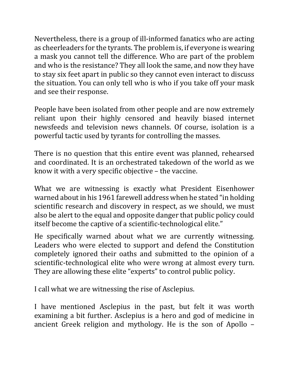Nevertheless, there is a group of ill-informed fanatics who are acting as cheerleaders for the tyrants. The problem is, if everyone is wearing a mask you cannot tell the difference. Who are part of the problem and who is the resistance? They all look the same, and now they have to stay six feet apart in public so they cannot even interact to discuss the situation. You can only tell who is who if you take off your mask and see their response.

People have been isolated from other people and are now extremely reliant upon their highly censored and heavily biased internet newsfeeds and television news channels. Of course, isolation is a powerful tactic used by tyrants for controlling the masses.

There is no question that this entire event was planned, rehearsed and coordinated. It is an orchestrated takedown of the world as we know it with a very specific objective  $-$  the vaccine.

What we are witnessing is exactly what President Eisenhower warned about in his 1961 farewell address when he stated "in holding" scientific research and discovery in respect, as we should, we must also be alert to the equal and opposite danger that public policy could itself become the captive of a scientific-technological elite."

He specifically warned about what we are currently witnessing. Leaders who were elected to support and defend the Constitution completely ignored their oaths and submitted to the opinion of a scientific-technological elite who were wrong at almost every turn. They are allowing these elite "experts" to control public policy.

I call what we are witnessing the rise of Asclepius.

I have mentioned Asclepius in the past, but felt it was worth examining a bit further. Asclepius is a hero and god of medicine in ancient Greek religion and mythology. He is the son of Apollo -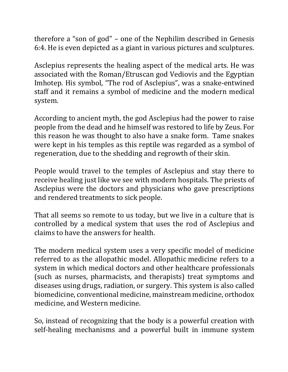therefore a "son of god" – one of the Nephilim described in Genesis 6:4. He is even depicted as a giant in various pictures and sculptures.

Asclepius represents the healing aspect of the medical arts. He was associated with the Roman/Etruscan god Vediovis and the Egyptian Imhotep. His symbol, "The rod of Asclepius", was a snake-entwined staff and it remains a symbol of medicine and the modern medical system. 

According to ancient myth, the god Asclepius had the power to raise people from the dead and he himself was restored to life by Zeus. For this reason he was thought to also have a snake form. Tame snakes were kept in his temples as this reptile was regarded as a symbol of regeneration, due to the shedding and regrowth of their skin.

People would travel to the temples of Asclepius and stay there to receive healing just like we see with modern hospitals. The priests of Asclepius were the doctors and physicians who gave prescriptions and rendered treatments to sick people.

That all seems so remote to us today, but we live in a culture that is controlled by a medical system that uses the rod of Asclepius and claims to have the answers for health.

The modern medical system uses a very specific model of medicine referred to as the allopathic model. Allopathic medicine refers to a system in which medical doctors and other healthcare professionals (such as nurses, pharmacists, and therapists) treat symptoms and diseases using drugs, radiation, or surgery. This system is also called biomedicine, conventional medicine, mainstream medicine, orthodox medicine, and Western medicine.

So, instead of recognizing that the body is a powerful creation with self-healing mechanisms and a powerful built in immune system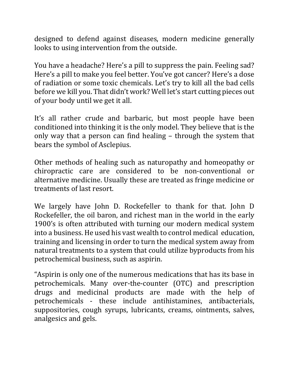designed to defend against diseases, modern medicine generally looks to using intervention from the outside.

You have a headache? Here's a pill to suppress the pain. Feeling sad? Here's a pill to make you feel better. You've got cancer? Here's a dose of radiation or some toxic chemicals. Let's try to kill all the bad cells before we kill you. That didn't work? Well let's start cutting pieces out of your body until we get it all.

It's all rather crude and barbaric, but most people have been conditioned into thinking it is the only model. They believe that is the only way that a person can find healing  $-$  through the system that bears the symbol of Asclepius.

Other methods of healing such as naturopathy and homeopathy or chiropractic care are considered to be non-conventional or alternative medicine. Usually these are treated as fringe medicine or treatments of last resort.

We largely have John D. Rockefeller to thank for that. John D. Rockefeller, the oil baron, and richest man in the world in the early 1900's is often attributed with turning our modern medical system into a business. He used his vast wealth to control medical education, training and licensing in order to turn the medical system away from natural treatments to a system that could utilize byproducts from his petrochemical business, such as aspirin.

"Aspirin is only one of the numerous medications that has its base in petrochemicals. Many over-the-counter (OTC) and prescription drugs and medicinal products are made with the help of petrochemicals - these include antihistamines, antibacterials, suppositories, cough syrups, lubricants, creams, ointments, salves, analgesics and gels.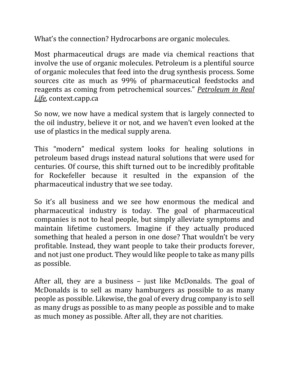What's the connection? Hydrocarbons are organic molecules.

Most pharmaceutical drugs are made via chemical reactions that involve the use of organic molecules. Petroleum is a plentiful source of organic molecules that feed into the drug synthesis process. Some sources cite as much as 99% of pharmaceutical feedstocks and reagents as coming from petrochemical sources." **Petroleum** in Real Life, context.capp.ca

So now, we now have a medical system that is largely connected to the oil industry, believe it or not, and we haven't even looked at the use of plastics in the medical supply arena.

This "modern" medical system looks for healing solutions in petroleum based drugs instead natural solutions that were used for centuries. Of course, this shift turned out to be incredibly profitable for Rockefeller because it resulted in the expansion of the pharmaceutical industry that we see today.

So it's all business and we see how enormous the medical and pharmaceutical industry is today. The goal of pharmaceutical companies is not to heal people, but simply alleviate symptoms and maintain lifetime customers. Imagine if they actually produced something that healed a person in one dose? That wouldn't be very profitable. Instead, they want people to take their products forever, and not just one product. They would like people to take as many pills as possible.

After all, they are a business  $-$  just like McDonalds. The goal of McDonalds is to sell as many hamburgers as possible to as many people as possible. Likewise, the goal of every drug company is to sell as many drugs as possible to as many people as possible and to make as much money as possible. After all, they are not charities.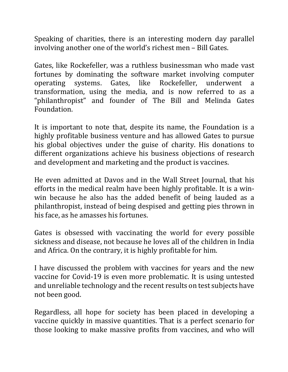Speaking of charities, there is an interesting modern day parallel involving another one of the world's richest men - Bill Gates.

Gates, like Rockefeller, was a ruthless businessman who made vast fortunes by dominating the software market involving computer operating systems. Gates, like Rockefeller, underwent a transformation, using the media, and is now referred to as a "philanthropist" and founder of The Bill and Melinda Gates Foundation.

It is important to note that, despite its name, the Foundation is a highly profitable business venture and has allowed Gates to pursue his global objectives under the guise of charity. His donations to different organizations achieve his business objections of research and development and marketing and the product is vaccines.

He even admitted at Davos and in the Wall Street Journal, that his efforts in the medical realm have been highly profitable. It is a winwin because he also has the added benefit of being lauded as a philanthropist, instead of being despised and getting pies thrown in his face, as he amasses his fortunes.

Gates is obsessed with vaccinating the world for every possible sickness and disease, not because he loves all of the children in India and Africa. On the contrary, it is highly profitable for him.

I have discussed the problem with vaccines for years and the new vaccine for Covid-19 is even more problematic. It is using untested and unreliable technology and the recent results on test subjects have not been good.

Regardless, all hope for society has been placed in developing a vaccine quickly in massive quantities. That is a perfect scenario for those looking to make massive profits from vaccines, and who will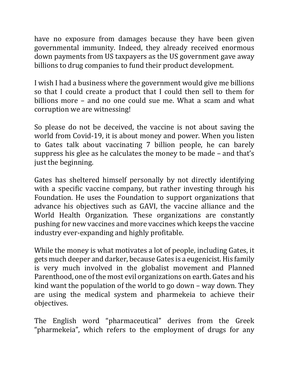have no exposure from damages because they have been given governmental immunity. Indeed, they already received enormous down payments from US taxpayers as the US government gave away billions to drug companies to fund their product development.

I wish I had a business where the government would give me billions so that I could create a product that I could then sell to them for billions more – and no one could sue me. What a scam and what corruption we are witnessing!

So please do not be deceived, the vaccine is not about saving the world from Covid-19, it is about money and power. When you listen to Gates talk about vaccinating 7 billion people, he can barely suppress his glee as he calculates the money to be made – and that's just the beginning.

Gates has sheltered himself personally by not directly identifying with a specific vaccine company, but rather investing through his Foundation. He uses the Foundation to support organizations that advance his objectives such as GAVI, the vaccine alliance and the World Health Organization. These organizations are constantly pushing for new vaccines and more vaccines which keeps the vaccine industry ever-expanding and highly profitable.

While the money is what motivates a lot of people, including Gates, it gets much deeper and darker, because Gates is a eugenicist. His family is very much involved in the globalist movement and Planned Parenthood, one of the most evil organizations on earth. Gates and his kind want the population of the world to go down – way down. They are using the medical system and pharmekeia to achieve their objectives.

The English word "pharmaceutical" derives from the Greek "pharmekeia", which refers to the employment of drugs for any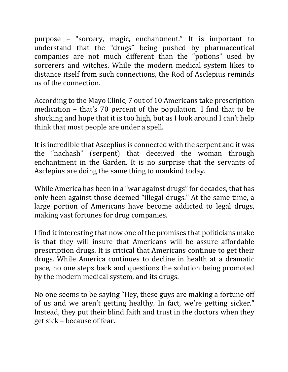purpose – "sorcery, magic, enchantment." It is important to understand that the "drugs" being pushed by pharmaceutical companies are not much different than the "potions" used by sorcerers and witches. While the modern medical system likes to distance itself from such connections, the Rod of Asclepius reminds us of the connection.

According to the Mayo Clinic, 7 out of 10 Americans take prescription medication  $-$  that's 70 percent of the population! I find that to be shocking and hope that it is too high, but as I look around I can't help think that most people are under a spell.

It is incredible that Asceplius is connected with the serpent and it was the "nachash" (serpent) that deceived the woman through enchantment in the Garden. It is no surprise that the servants of Asclepius are doing the same thing to mankind today.

While America has been in a "war against drugs" for decades, that has only been against those deemed "illegal drugs." At the same time, a large portion of Americans have become addicted to legal drugs, making vast fortunes for drug companies.

I find it interesting that now one of the promises that politicians make is that they will insure that Americans will be assure affordable prescription drugs. It is critical that Americans continue to get their drugs. While America continues to decline in health at a dramatic pace, no one steps back and questions the solution being promoted by the modern medical system, and its drugs.

No one seems to be saying "Hey, these guys are making a fortune off of us and we aren't getting healthy. In fact, we're getting sicker." Instead, they put their blind faith and trust in the doctors when they get sick – because of fear.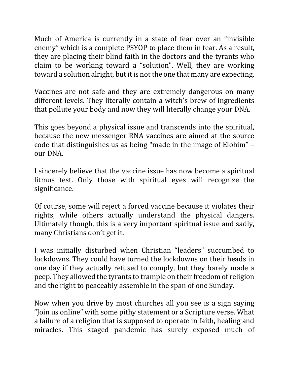Much of America is currently in a state of fear over an "invisible enemy" which is a complete PSYOP to place them in fear. As a result, they are placing their blind faith in the doctors and the tyrants who claim to be working toward a "solution". Well, they are working toward a solution alright, but it is not the one that many are expecting.

Vaccines are not safe and they are extremely dangerous on many different levels. They literally contain a witch's brew of ingredients that pollute your body and now they will literally change your DNA.

This goes beyond a physical issue and transcends into the spiritual, because the new messenger RNA vaccines are aimed at the source code that distinguishes us as being "made in the image of Elohim" – our DNA.

I sincerely believe that the vaccine issue has now become a spiritual litmus test. Only those with spiritual eyes will recognize the significance.

Of course, some will reject a forced vaccine because it violates their rights, while others actually understand the physical dangers. Ultimately though, this is a very important spiritual issue and sadly, many Christians don't get it.

I was initially disturbed when Christian "leaders" succumbed to lockdowns. They could have turned the lockdowns on their heads in one day if they actually refused to comply, but they barely made a peep. They allowed the tyrants to trample on their freedom of religion and the right to peaceably assemble in the span of one Sunday.

Now when you drive by most churches all you see is a sign saying "Join us online" with some pithy statement or a Scripture verse. What a failure of a religion that is supposed to operate in faith, healing and miracles. This staged pandemic has surely exposed much of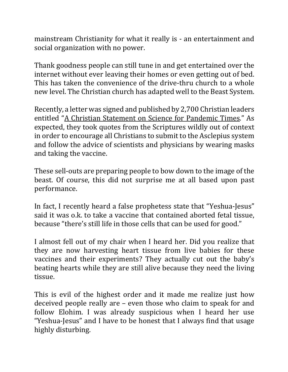mainstream Christianity for what it really is - an entertainment and social organization with no power.

Thank goodness people can still tune in and get entertained over the internet without ever leaving their homes or even getting out of bed. This has taken the convenience of the drive-thru church to a whole new level. The Christian church has adapted well to the Beast System.

Recently, a letter was signed and published by 2,700 Christian leaders entitled "A Christian Statement on Science for Pandemic Times." As expected, they took quotes from the Scriptures wildly out of context in order to encourage all Christians to submit to the Asclepius system and follow the advice of scientists and physicians by wearing masks and taking the vaccine.

These sell-outs are preparing people to bow down to the image of the beast. Of course, this did not surprise me at all based upon past performance. 

In fact, I recently heard a false prophetess state that "Yeshua-Jesus" said it was o.k. to take a vaccine that contained aborted fetal tissue, because "there's still life in those cells that can be used for good."

I almost fell out of my chair when I heard her. Did you realize that they are now harvesting heart tissue from live babies for these vaccines and their experiments? They actually cut out the baby's beating hearts while they are still alive because they need the living tissue.

This is evil of the highest order and it made me realize just how deceived people really are  $-$  even those who claim to speak for and follow Elohim. I was already suspicious when I heard her use "Yeshua-Jesus" and I have to be honest that I always find that usage highly disturbing.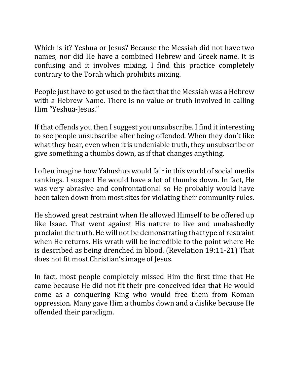Which is it? Yeshua or Jesus? Because the Messiah did not have two names, nor did He have a combined Hebrew and Greek name. It is confusing and it involves mixing. I find this practice completely contrary to the Torah which prohibits mixing.

People just have to get used to the fact that the Messiah was a Hebrew with a Hebrew Name. There is no value or truth involved in calling Him "Yeshua-Jesus."

If that offends you then I suggest you unsubscribe. I find it interesting to see people unsubscribe after being offended. When they don't like what they hear, even when it is undeniable truth, they unsubscribe or give something a thumbs down, as if that changes anything.

I often imagine how Yahushua would fair in this world of social media rankings. I suspect He would have a lot of thumbs down. In fact, He was very abrasive and confrontational so He probably would have been taken down from most sites for violating their community rules.

He showed great restraint when He allowed Himself to be offered up like Isaac. That went against His nature to live and unabashedly proclaim the truth. He will not be demonstrating that type of restraint when He returns. His wrath will be incredible to the point where He is described as being drenched in blood. (Revelation 19:11-21) That does not fit most Christian's image of Jesus.

In fact, most people completely missed Him the first time that He came because He did not fit their pre-conceived idea that He would come as a conquering King who would free them from Roman oppression. Many gave Him a thumbs down and a dislike because He offended their paradigm.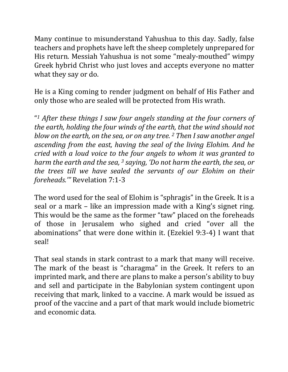Many continue to misunderstand Yahushua to this day. Sadly, false teachers and prophets have left the sheep completely unprepared for His return. Messiah Yahushua is not some "mealy-mouthed" wimpy Greek hybrid Christ who just loves and accepts everyone no matter what they say or do.

He is a King coming to render judgment on behalf of His Father and only those who are sealed will be protected from His wrath.

"<sup>1</sup> After these things I saw four angels standing at the four corners of *the earth, holding the four winds of the earth, that the wind should not blow* on the earth, on the sea, or on any tree. <sup>2</sup> Then I saw another angel *ascending from the east, having the seal of the living Elohim. And he cried* with a loud voice to the four angels to whom it was granted to *harm* the earth and the sea, <sup>3</sup> saying, 'Do not harm the earth, the sea, or *the trees till we have sealed the servants of our Elohim on their foreheads.*" Revelation 7:1-3

The word used for the seal of Elohim is "sphragis" in the Greek. It is a seal or a mark – like an impression made with a King's signet ring. This would be the same as the former "taw" placed on the foreheads of those in Jerusalem who sighed and cried "over all the abominations" that were done within it. (Ezekiel 9:3-4) I want that seal!

That seal stands in stark contrast to a mark that many will receive. The mark of the beast is "charagma" in the Greek. It refers to an imprinted mark, and there are plans to make a person's ability to buy and sell and participate in the Babylonian system contingent upon receiving that mark, linked to a vaccine. A mark would be issued as proof of the vaccine and a part of that mark would include biometric and economic data.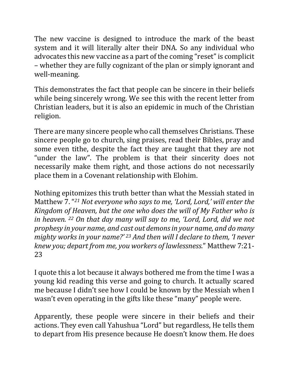The new vaccine is designed to introduce the mark of the beast system and it will literally alter their DNA. So any individual who advocates this new vaccine as a part of the coming "reset" is complicit – whether they are fully cognizant of the plan or simply ignorant and well-meaning. 

This demonstrates the fact that people can be sincere in their beliefs while being sincerely wrong. We see this with the recent letter from Christian leaders, but it is also an epidemic in much of the Christian religion.

There are many sincere people who call themselves Christians. These sincere people go to church, sing praises, read their Bibles, pray and some even tithe, despite the fact they are taught that they are not "under the law". The problem is that their sincerity does not necessarily make them right, and those actions do not necessarily place them in a Covenant relationship with Elohim.

Nothing epitomizes this truth better than what the Messiah stated in Matthew 7. "<sup>21</sup> Not everyone who says to me, 'Lord, Lord,' will enter the *Kingdom of Heaven, but the one who does the will of My Father who is in heaven.* <sup>22</sup> On that day many will say to me, 'Lord, Lord, did we not *prophesy in your name, and cast out demons in your name, and do many mighty* works in your name?' <sup>23</sup> And then will I declare to them, 'I never *knew you; depart from me, you workers of lawlessness.*" Matthew 7:21-23

I quote this a lot because it always bothered me from the time I was a young kid reading this verse and going to church. It actually scared me because I didn't see how I could be known by the Messiah when I wasn't even operating in the gifts like these "many" people were.

Apparently, these people were sincere in their beliefs and their actions. They even call Yahushua "Lord" but regardless, He tells them to depart from His presence because He doesn't know them. He does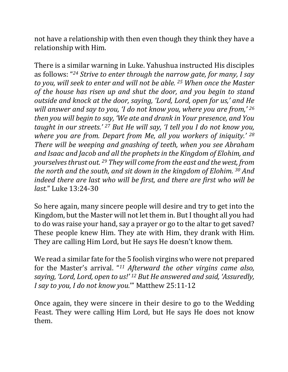not have a relationship with then even though they think they have a relationship with Him.

There is a similar warning in Luke. Yahushua instructed His disciples as follows: "<sup>24</sup> Strive to enter through the narrow gate, for many, I say *to* you, will seek to enter and will not be able. <sup>25</sup> When once the Master of the house has risen up and shut the door, and you begin to stand *outside and knock at the door, saying, 'Lord, Lord, open for us,' and He* will answer and say to you, 'I do not know you, where you are from,' 26 *then* you will begin to say, 'We ate and drank in Your presence, and You *taught in our streets.'* <sup>27</sup> *But He will say, 'I tell you I do not know you, where you are from. Depart from Me, all you workers of iniquity.' <sup>28</sup>* There will be weeping and gnashing of teeth, when you see Abraham and Isaac and Jacob and all the prophets in the Kingdom of Elohim, and *yourselves thrust out.* <sup>29</sup> *They will come from the east and the west, from the north and the south, and sit down in the kingdom of Elohim.* 30 *And indeed there are last who will be first, and there are first who will be last.*" Luke 13:24-30

So here again, many sincere people will desire and try to get into the Kingdom, but the Master will not let them in. But I thought all you had to do was raise your hand, say a prayer or go to the altar to get saved? These people knew Him. They ate with Him, they drank with Him. They are calling Him Lord, but He says He doesn't know them.

We read a similar fate for the 5 foolish virgins who were not prepared for the Master's arrival. "<sup>11</sup> Afterward the other virgins came also, *saying, 'Lord, Lord, open to us!' <sup>12</sup> But He answered and said, 'Assuredly, I* say to you, *I* do not know you." Matthew 25:11-12

Once again, they were sincere in their desire to go to the Wedding Feast. They were calling Him Lord, but He says He does not know them.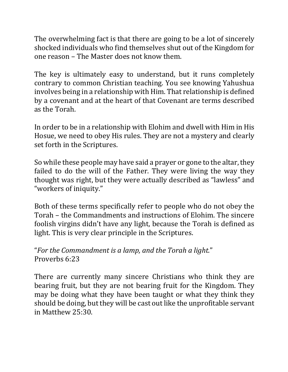The overwhelming fact is that there are going to be a lot of sincerely shocked individuals who find themselves shut out of the Kingdom for one reason – The Master does not know them.

The key is ultimately easy to understand, but it runs completely contrary to common Christian teaching. You see knowing Yahushua involves being in a relationship with Him. That relationship is defined by a covenant and at the heart of that Covenant are terms described as the Torah.

In order to be in a relationship with Elohim and dwell with Him in His Hosue, we need to obey His rules. They are not a mystery and clearly set forth in the Scriptures.

So while these people may have said a prayer or gone to the altar, they failed to do the will of the Father. They were living the way they thought was right, but they were actually described as "lawless" and "workers of iniquity."

Both of these terms specifically refer to people who do not obey the Torah – the Commandments and instructions of Elohim. The sincere foolish virgins didn't have any light, because the Torah is defined as light. This is very clear principle in the Scriptures.

"For the Commandment is a lamp, and the Torah a light." Proverbs 6:23

There are currently many sincere Christians who think they are bearing fruit, but they are not bearing fruit for the Kingdom. They may be doing what they have been taught or what they think they should be doing, but they will be cast out like the unprofitable servant in Matthew 25:30.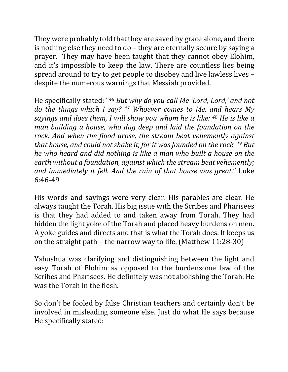They were probably told that they are saved by grace alone, and there is nothing else they need to do  $-$  they are eternally secure by saying a prayer. They may have been taught that they cannot obey Elohim, and it's impossible to keep the law. There are countless lies being spread around to try to get people to disobey and live lawless lives despite the numerous warnings that Messiah provided.

He specifically stated: "<sup>46</sup> But why do you call Me 'Lord, Lord,' and not *do* the things which I say? <sup>47</sup> Whoever comes to Me, and hears My *sayings and does them, I will show you whom he is like: <sup>48</sup> He is like a man building a house, who dug deep and laid the foundation on the* rock. And when the flood arose, the stream beat vehemently against *that house, and could not shake it, for it was founded on the rock.* 49 But *he* who heard and did nothing is like a man who built a house on the *earth without a foundation, against which the stream beat vehemently;* and immediately it fell. And the ruin of that house was great." Luke 6:46-49

His words and sayings were very clear. His parables are clear. He always taught the Torah. His big issue with the Scribes and Pharisees is that they had added to and taken away from Torah. They had hidden the light yoke of the Torah and placed heavy burdens on men. A yoke guides and directs and that is what the Torah does. It keeps us on the straight path – the narrow way to life. (Matthew  $11:28-30$ )

Yahushua was clarifying and distinguishing between the light and easy Torah of Elohim as opposed to the burdensome law of the Scribes and Pharisees. He definitely was not abolishing the Torah. He was the Torah in the flesh.

So don't be fooled by false Christian teachers and certainly don't be involved in misleading someone else. Just do what He says because He specifically stated: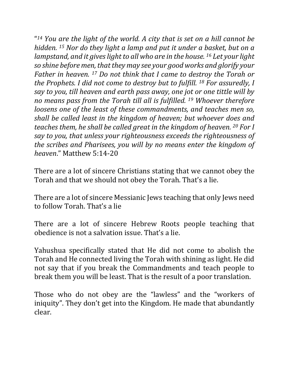"<sup>14</sup> You are the light of the world. A city that is set on a hill cannot be *hidden.* <sup>15</sup> Nor do they light a lamp and put it under a basket, but on a *lampstand, and it gives light to all who are in the house.* <sup>16</sup> Let your light *so shine before men, that they may see your good works and glorify your Father in heaven.* <sup>17</sup> *Do not think that I came to destroy the Torah or the Prophets. I did not come to destroy but to fulfill.* <sup>18</sup> *For assuredly, I say to you, till heaven and earth pass away, one jot or one tittle will by no* means pass from the Torah till all is fulfilled. <sup>19</sup> Whoever therefore *loosens one of the least of these commandments, and teaches men so, shall be called least in the kingdom of heaven; but whoever does and teaches them, he shall be called great in the kingdom of heaven.* 20 For I *say to you, that unless your righteousness exceeds the righteousness of the scribes and Pharisees, you will by no means enter the kingdom of heaven*." Matthew 5:14-20

There are a lot of sincere Christians stating that we cannot obey the Torah and that we should not obey the Torah. That's a lie.

There are a lot of sincere Messianic Jews teaching that only Jews need to follow Torah. That's a lie

There are a lot of sincere Hebrew Roots people teaching that obedience is not a salvation issue. That's a lie.

Yahushua specifically stated that He did not come to abolish the Torah and He connected living the Torah with shining as light. He did not say that if you break the Commandments and teach people to break them you will be least. That is the result of a poor translation.

Those who do not obey are the "lawless" and the "workers of iniquity". They don't get into the Kingdom. He made that abundantly clear.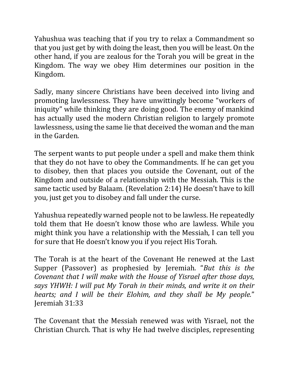Yahushua was teaching that if you try to relax a Commandment so that you just get by with doing the least, then you will be least. On the other hand, if you are zealous for the Torah you will be great in the Kingdom. The way we obey Him determines our position in the Kingdom.

Sadly, many sincere Christians have been deceived into living and promoting lawlessness. They have unwittingly become "workers of iniquity" while thinking they are doing good. The enemy of mankind has actually used the modern Christian religion to largely promote lawlessness, using the same lie that deceived the woman and the man in the Garden.

The serpent wants to put people under a spell and make them think that they do not have to obey the Commandments. If he can get you to disobey, then that places you outside the Covenant, out of the Kingdom and outside of a relationship with the Messiah. This is the same tactic used by Balaam. (Revelation 2:14) He doesn't have to kill you, just get you to disobey and fall under the curse.

Yahushua repeatedly warned people not to be lawless. He repeatedly told them that He doesn't know those who are lawless. While you might think you have a relationship with the Messiah, I can tell you for sure that He doesn't know you if you reject His Torah.

The Torah is at the heart of the Covenant He renewed at the Last Supper (Passover) as prophesied by Jeremiah. "*But this is the Covenant that I will make with the House of Yisrael after those days, says YHWH: I will put My Torah in their minds, and write it on their hearts;* and I will be their Elohim, and they shall be My people." Jeremiah 31:33

The Covenant that the Messiah renewed was with Yisrael, not the Christian Church. That is why He had twelve disciples, representing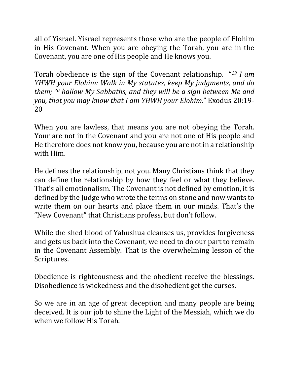all of Yisrael. Yisrael represents those who are the people of Elohim in His Covenant. When you are obeying the Torah, you are in the Covenant, you are one of His people and He knows you.

Torah obedience is the sign of the Covenant relationship. "<sup>19</sup> *I am YHWH* your *Elohim:* Walk in My statutes, keep My judgments, and do *them;* <sup>20</sup> hallow My Sabbaths, and they will be a sign between Me and *you, that you may know that I am YHWH your Elohim.*" Exodus 20:19-20

When you are lawless, that means you are not obeying the Torah. Your are not in the Covenant and you are not one of His people and He therefore does not know you, because you are not in a relationship with Him.

He defines the relationship, not you. Many Christians think that they can define the relationship by how they feel or what they believe. That's all emotionalism. The Covenant is not defined by emotion, it is defined by the Judge who wrote the terms on stone and now wants to write them on our hearts and place them in our minds. That's the "New Covenant" that Christians profess, but don't follow.

While the shed blood of Yahushua cleanses us, provides forgiveness and gets us back into the Covenant, we need to do our part to remain in the Covenant Assembly. That is the overwhelming lesson of the Scriptures.

Obedience is righteousness and the obedient receive the blessings. Disobedience is wickedness and the disobedient get the curses.

So we are in an age of great deception and many people are being deceived. It is our job to shine the Light of the Messiah, which we do when we follow His Torah.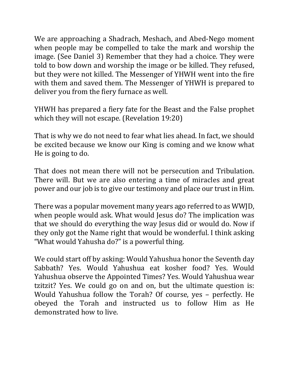We are approaching a Shadrach, Meshach, and Abed-Nego moment when people may be compelled to take the mark and worship the image. (See Daniel 3) Remember that they had a choice. They were told to bow down and worship the image or be killed. They refused, but they were not killed. The Messenger of YHWH went into the fire with them and saved them. The Messenger of YHWH is prepared to deliver you from the fiery furnace as well.

YHWH has prepared a fiery fate for the Beast and the False prophet which they will not escape. (Revelation 19:20)

That is why we do not need to fear what lies ahead. In fact, we should be excited because we know our King is coming and we know what He is going to do.

That does not mean there will not be persecution and Tribulation. There will. But we are also entering a time of miracles and great power and our job is to give our testimony and place our trust in Him.

There was a popular movement many years ago referred to as WWJD, when people would ask. What would Jesus do? The implication was that we should do everything the way Jesus did or would do. Now if they only got the Name right that would be wonderful. I think asking "What would Yahusha do?" is a powerful thing.

We could start off by asking: Would Yahushua honor the Seventh day Sabbath? Yes. Would Yahushua eat kosher food? Yes. Would Yahushua observe the Appointed Times? Yes. Would Yahushua wear tzitzit? Yes. We could go on and on, but the ultimate question is: Would Yahushua follow the Torah? Of course, yes - perfectly. He obeyed the Torah and instructed us to follow Him as He demonstrated how to live.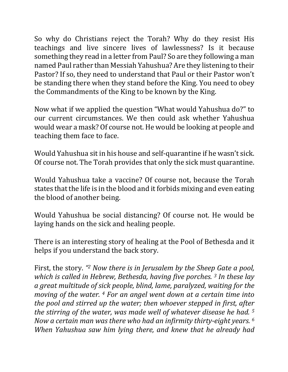So why do Christians reject the Torah? Why do they resist His teachings and live sincere lives of lawlessness? Is it because something they read in a letter from Paul? So are they following a man named Paul rather than Messiah Yahushua? Are they listening to their Pastor? If so, they need to understand that Paul or their Pastor won't be standing there when they stand before the King. You need to obey the Commandments of the King to be known by the King.

Now what if we applied the question "What would Yahushua do?" to our current circumstances. We then could ask whether Yahushua would wear a mask? Of course not. He would be looking at people and teaching them face to face.

Would Yahushua sit in his house and self-quarantine if he wasn't sick. Of course not. The Torah provides that only the sick must quarantine.

Would Yahushua take a vaccine? Of course not, because the Torah states that the life is in the blood and it forbids mixing and even eating the blood of another being.

Would Yahushua be social distancing? Of course not. He would be laying hands on the sick and healing people.

There is an interesting story of healing at the Pool of Bethesda and it helps if you understand the back story.

First, the story. "<sup>2</sup> Now there is in Jerusalem by the Sheep Gate a pool, *which is called in Hebrew, Bethesda, having five porches.* 3 *In these lay a* great multitude of sick people, blind, lame, paralyzed, waiting for the *moving of the water.* <sup>4</sup> *For an angel went down at a certain time into the pool and stirred up the water; then whoever stepped in first, after the stirring of the water, was made well of whatever disease he had.* <sup>5</sup> *Now a certain man was there who had an infirmity thirty-eight years.* <sup>6</sup> *When Yahushua saw him lying there, and knew that he already had*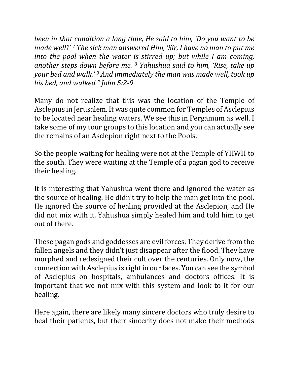*been in that condition a long time, He said to him, 'Do you want to be made* well?'<sup>7</sup> The sick man answered Him, 'Sir, I have no man to put me *into the pool when the water is stirred up; but while I am coming, another steps down before me.* <sup>8</sup> *Yahushua said to him, 'Rise, take up your bed and walk.'* <sup>9</sup> *And immediately the man was made well, took up his bed, and walked." John 5:2-9*

Many do not realize that this was the location of the Temple of Asclepius in Jerusalem. It was quite common for Temples of Asclepius to be located near healing waters. We see this in Pergamum as well. I take some of my tour groups to this location and you can actually see the remains of an Asclepion right next to the Pools.

So the people waiting for healing were not at the Temple of YHWH to the south. They were waiting at the Temple of a pagan god to receive their healing.

It is interesting that Yahushua went there and ignored the water as the source of healing. He didn't try to help the man get into the pool. He ignored the source of healing provided at the Asclepion, and He did not mix with it. Yahushua simply healed him and told him to get out of there.

These pagan gods and goddesses are evil forces. They derive from the fallen angels and they didn't just disappear after the flood. They have morphed and redesigned their cult over the centuries. Only now, the connection with Asclepius is right in our faces. You can see the symbol of Asclepius on hospitals, ambulances and doctors offices. It is important that we not mix with this system and look to it for our healing.

Here again, there are likely many sincere doctors who truly desire to heal their patients, but their sincerity does not make their methods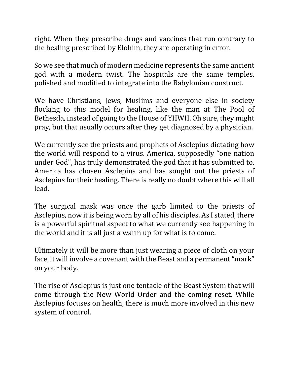right. When they prescribe drugs and vaccines that run contrary to the healing prescribed by Elohim, they are operating in error.

So we see that much of modern medicine represents the same ancient god with a modern twist. The hospitals are the same temples, polished and modified to integrate into the Babylonian construct.

We have Christians, Jews, Muslims and everyone else in society flocking to this model for healing, like the man at The Pool of Bethesda, instead of going to the House of YHWH. Oh sure, they might pray, but that usually occurs after they get diagnosed by a physician.

We currently see the priests and prophets of Asclepius dictating how the world will respond to a virus. America, supposedly "one nation under God", has truly demonstrated the god that it has submitted to. America has chosen Asclepius and has sought out the priests of Asclepius for their healing. There is really no doubt where this will all lead.

The surgical mask was once the garb limited to the priests of Asclepius, now it is being worn by all of his disciples. As I stated, there is a powerful spiritual aspect to what we currently see happening in the world and it is all just a warm up for what is to come.

Ultimately it will be more than just wearing a piece of cloth on your face, it will involve a covenant with the Beast and a permanent "mark" on your body.

The rise of Asclepius is just one tentacle of the Beast System that will come through the New World Order and the coming reset. While Asclepius focuses on health, there is much more involved in this new system of control.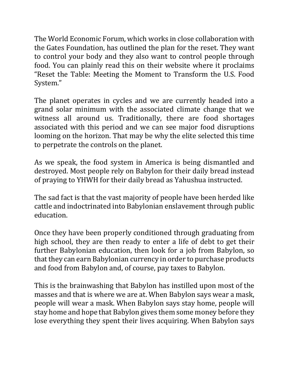The World Economic Forum, which works in close collaboration with the Gates Foundation, has outlined the plan for the reset. They want to control your body and they also want to control people through food. You can plainly read this on their website where it proclaims "Reset the Table: Meeting the Moment to Transform the U.S. Food System."

The planet operates in cycles and we are currently headed into a grand solar minimum with the associated climate change that we witness all around us. Traditionally, there are food shortages associated with this period and we can see major food disruptions looming on the horizon. That may be why the elite selected this time to perpetrate the controls on the planet.

As we speak, the food system in America is being dismantled and destroyed. Most people rely on Babylon for their daily bread instead of praying to YHWH for their daily bread as Yahushua instructed.

The sad fact is that the vast majority of people have been herded like cattle and indoctrinated into Babylonian enslavement through public education. 

Once they have been properly conditioned through graduating from high school, they are then ready to enter a life of debt to get their further Babylonian education, then look for a job from Babylon, so that they can earn Babylonian currency in order to purchase products and food from Babylon and, of course, pay taxes to Babylon.

This is the brainwashing that Babylon has instilled upon most of the masses and that is where we are at. When Babylon says wear a mask, people will wear a mask. When Babylon says stay home, people will stay home and hope that Babylon gives them some money before they lose everything they spent their lives acquiring. When Babylon says